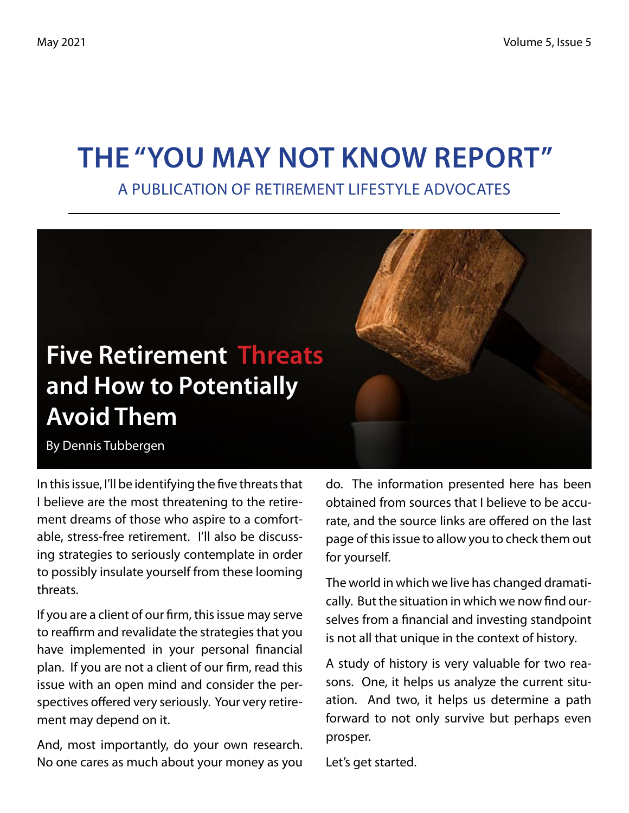## **The "You May Not Know Report"**

A Publication of Retirement Lifestyle Advocates



By Dennis Tubbergen

In this issue, I'll be identifying the five threats that I believe are the most threatening to the retirement dreams of those who aspire to a comfortable, stress-free retirement. I'll also be discussing strategies to seriously contemplate in order to possibly insulate yourself from these looming threats.

If you are a client of our firm, this issue may serve to reaffirm and revalidate the strategies that you have implemented in your personal financial plan. If you are not a client of our firm, read this issue with an open mind and consider the perspectives offered very seriously. Your very retirement may depend on it.

And, most importantly, do your own research. No one cares as much about your money as you

do. The information presented here has been obtained from sources that I believe to be accurate, and the source links are offered on the last page of this issue to allow you to check them out for yourself.

The world in which we live has changed dramatically. But the situation in which we now find ourselves from a financial and investing standpoint is not all that unique in the context of history.

A study of history is very valuable for two reasons. One, it helps us analyze the current situation. And two, it helps us determine a path forward to not only survive but perhaps even prosper.

Let's get started.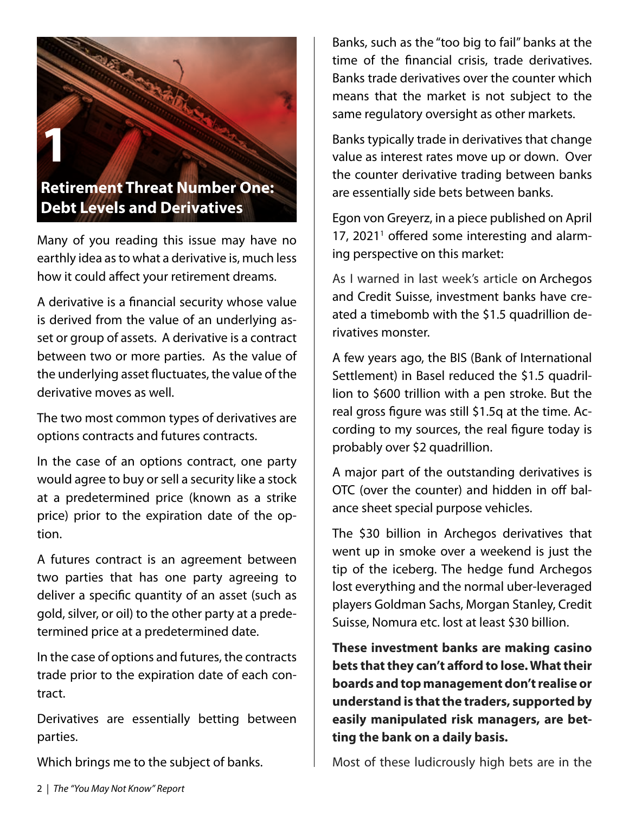

Many of you reading this issue may have no earthly idea as to what a derivative is, much less how it could affect your retirement dreams.

A derivative is a financial security whose value is derived from the value of an underlying asset or group of assets. A derivative is a contract between two or more parties. As the value of the underlying asset fluctuates, the value of the derivative moves as well.

The two most common types of derivatives are options contracts and futures contracts.

In the case of an options contract, one party would agree to buy or sell a security like a stock at a predetermined price (known as a strike price) prior to the expiration date of the option.

A futures contract is an agreement between two parties that has one party agreeing to deliver a specific quantity of an asset (such as gold, silver, or oil) to the other party at a predetermined price at a predetermined date.

In the case of options and futures, the contracts trade prior to the expiration date of each contract.

Derivatives are essentially betting between parties.

Which brings me to the subject of banks.

Banks, such as the "too big to fail" banks at the time of the financial crisis, trade derivatives. Banks trade derivatives over the counter which means that the market is not subject to the same regulatory oversight as other markets.

Banks typically trade in derivatives that change value as interest rates move up or down. Over the counter derivative trading between banks are essentially side bets between banks.

Egon von Greyerz, in a piece published on April 17, 2021<sup>1</sup> offered some interesting and alarming perspective on this market:

As I warned in last week's article on Archegos and Credit Suisse, investment banks have created a timebomb with the \$1.5 quadrillion derivatives monster.

A few years ago, the BIS (Bank of International Settlement) in Basel reduced the \$1.5 quadrillion to \$600 trillion with a pen stroke. But the real gross figure was still \$1.5q at the time. According to my sources, the real figure today is probably over \$2 quadrillion.

A major part of the outstanding derivatives is OTC (over the counter) and hidden in off balance sheet special purpose vehicles.

The \$30 billion in Archegos derivatives that went up in smoke over a weekend is just the tip of the iceberg. The hedge fund Archegos lost everything and the normal uber-leveraged players Goldman Sachs, Morgan Stanley, Credit Suisse, Nomura etc. lost at least \$30 billion.

**These investment banks are making casino bets that they can't afford to lose. What their boards and top management don't realise or understand is that the traders, supported by easily manipulated risk managers, are betting the bank on a daily basis.**

Most of these ludicrously high bets are in the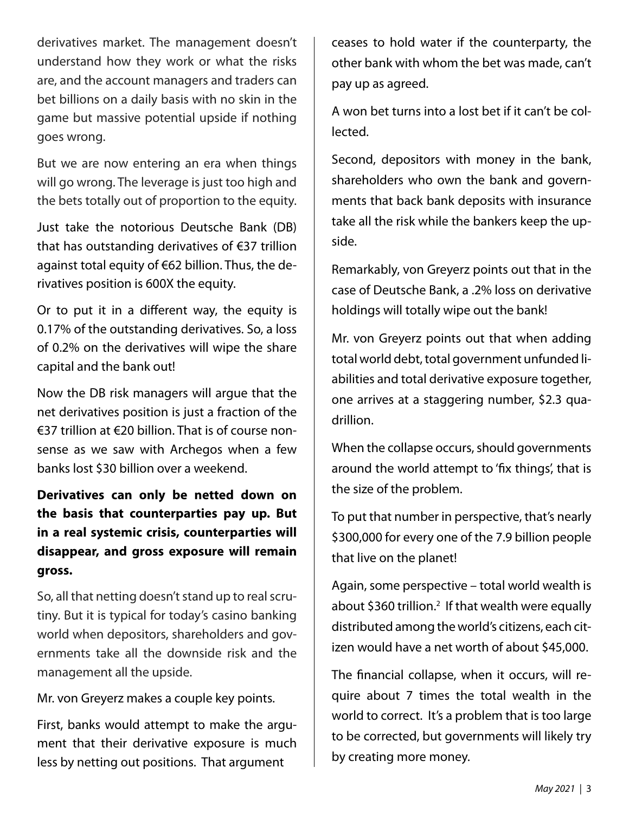derivatives market. The management doesn't understand how they work or what the risks are, and the account managers and traders can bet billions on a daily basis with no skin in the game but massive potential upside if nothing goes wrong.

But we are now entering an era when things will go wrong. The leverage is just too high and the bets totally out of proportion to the equity.

Just take the notorious Deutsche Bank (DB) that has outstanding derivatives of €37 trillion against total equity of €62 billion. Thus, the derivatives position is 600X the equity.

Or to put it in a different way, the equity is 0.17% of the outstanding derivatives. So, a loss of 0.2% on the derivatives will wipe the share capital and the bank out!

Now the DB risk managers will argue that the net derivatives position is just a fraction of the €37 trillion at €20 billion. That is of course nonsense as we saw with Archegos when a few banks lost \$30 billion over a weekend.

**Derivatives can only be netted down on the basis that counterparties pay up. But in a real systemic crisis, counterparties will disappear, and gross exposure will remain gross.**

So, all that netting doesn't stand up to real scrutiny. But it is typical for today's casino banking world when depositors, shareholders and governments take all the downside risk and the management all the upside.

Mr. von Greyerz makes a couple key points.

First, banks would attempt to make the argument that their derivative exposure is much less by netting out positions. That argument

ceases to hold water if the counterparty, the other bank with whom the bet was made, can't pay up as agreed.

A won bet turns into a lost bet if it can't be collected.

Second, depositors with money in the bank, shareholders who own the bank and governments that back bank deposits with insurance take all the risk while the bankers keep the upside.

Remarkably, von Greyerz points out that in the case of Deutsche Bank, a .2% loss on derivative holdings will totally wipe out the bank!

Mr. von Greyerz points out that when adding total world debt, total government unfunded liabilities and total derivative exposure together, one arrives at a staggering number, \$2.3 quadrillion.

When the collapse occurs, should governments around the world attempt to 'fix things', that is the size of the problem.

To put that number in perspective, that's nearly \$300,000 for every one of the 7.9 billion people that live on the planet!

Again, some perspective – total world wealth is about \$360 trillion.<sup>2</sup> If that wealth were equally distributed among the world's citizens, each citizen would have a net worth of about \$45,000.

The financial collapse, when it occurs, will require about 7 times the total wealth in the world to correct. It's a problem that is too large to be corrected, but governments will likely try by creating more money.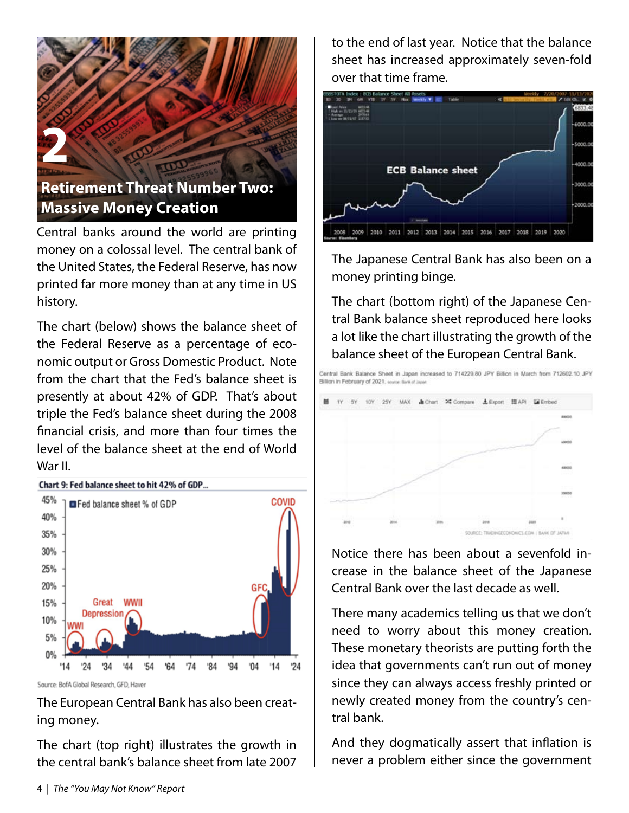

Central banks around the world are printing money on a colossal level. The central bank of the United States, the Federal Reserve, has now printed far more money than at any time in US history.

The chart (below) shows the balance sheet of the Federal Reserve as a percentage of economic output or Gross Domestic Product. Note from the chart that the Fed's balance sheet is presently at about 42% of GDP. That's about triple the Fed's balance sheet during the 2008 financial crisis, and more than four times the level of the balance sheet at the end of World War II.



#### Chart 9: Fed balance sheet to hit 42% of GDP...

Source: BofA Global Research, GFD, Haver

The European Central Bank has also been creating money.

The chart (top right) illustrates the growth in the central bank's balance sheet from late 2007 to the end of last year. Notice that the balance sheet has increased approximately seven-fold over that time frame.



The Japanese Central Bank has also been on a money printing binge.

The chart (bottom right) of the Japanese Central Bank balance sheet reproduced here looks a lot like the chart illustrating the growth of the balance sheet of the European Central Bank.

.<br>Central Bank Balance Sheet in Japan increased to 714229.80 JPY Billion in March from 712602.10 JPY Billion in February of 2021, source flast of



Notice there has been about a sevenfold increase in the balance sheet of the Japanese Central Bank over the last decade as well.

There many academics telling us that we don't need to worry about this money creation. These monetary theorists are putting forth the idea that governments can't run out of money since they can always access freshly printed or newly created money from the country's central bank.

And they dogmatically assert that inflation is never a problem either since the government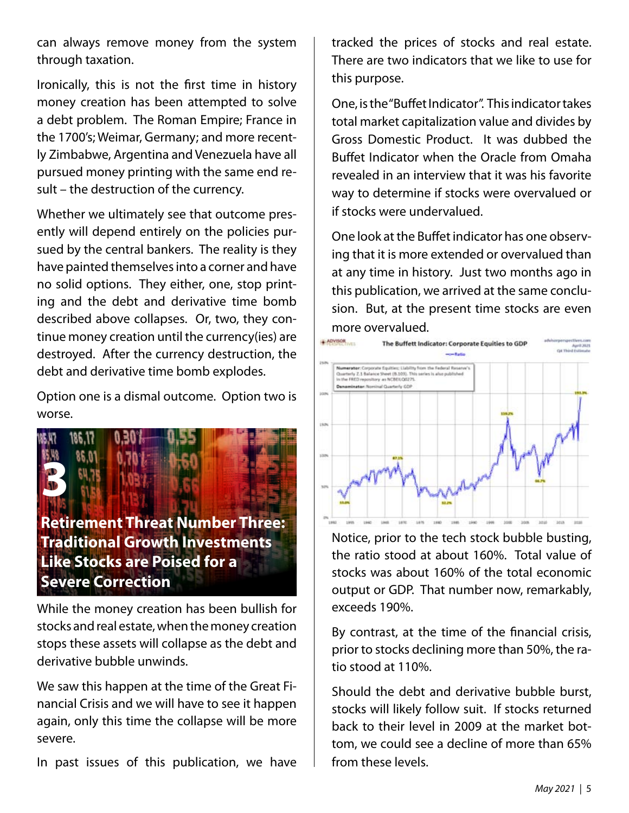can always remove money from the system through taxation.

Ironically, this is not the first time in history money creation has been attempted to solve a debt problem. The Roman Empire; France in the 1700's; Weimar, Germany; and more recently Zimbabwe, Argentina and Venezuela have all pursued money printing with the same end result – the destruction of the currency.

Whether we ultimately see that outcome presently will depend entirely on the policies pursued by the central bankers. The reality is they have painted themselves into a corner and have no solid options. They either, one, stop printing and the debt and derivative time bomb described above collapses. Or, two, they continue money creation until the currency(ies) are destroyed. After the currency destruction, the debt and derivative time bomb explodes.

Option one is a dismal outcome. Option two is worse.



**Like Stocks are Poised for a Severe Correction**

While the money creation has been bullish for stocks and real estate, when the money creation stops these assets will collapse as the debt and derivative bubble unwinds.

We saw this happen at the time of the Great Financial Crisis and we will have to see it happen again, only this time the collapse will be more severe.

In past issues of this publication, we have

tracked the prices of stocks and real estate. There are two indicators that we like to use for this purpose.

One, is the "Buffet Indicator". This indicator takes total market capitalization value and divides by Gross Domestic Product. It was dubbed the Buffet Indicator when the Oracle from Omaha revealed in an interview that it was his favorite way to determine if stocks were overvalued or if stocks were undervalued.

One look at the Buffet indicator has one observing that it is more extended or overvalued than at any time in history. Just two months ago in this publication, we arrived at the same conclusion. But, at the present time stocks are even more overvalued.



Notice, prior to the tech stock bubble busting, the ratio stood at about 160%. Total value of stocks was about 160% of the total economic output or GDP. That number now, remarkably, exceeds 190%.

By contrast, at the time of the financial crisis, prior to stocks declining more than 50%, the ratio stood at 110%.

Should the debt and derivative bubble burst, stocks will likely follow suit. If stocks returned back to their level in 2009 at the market bottom, we could see a decline of more than 65% from these levels.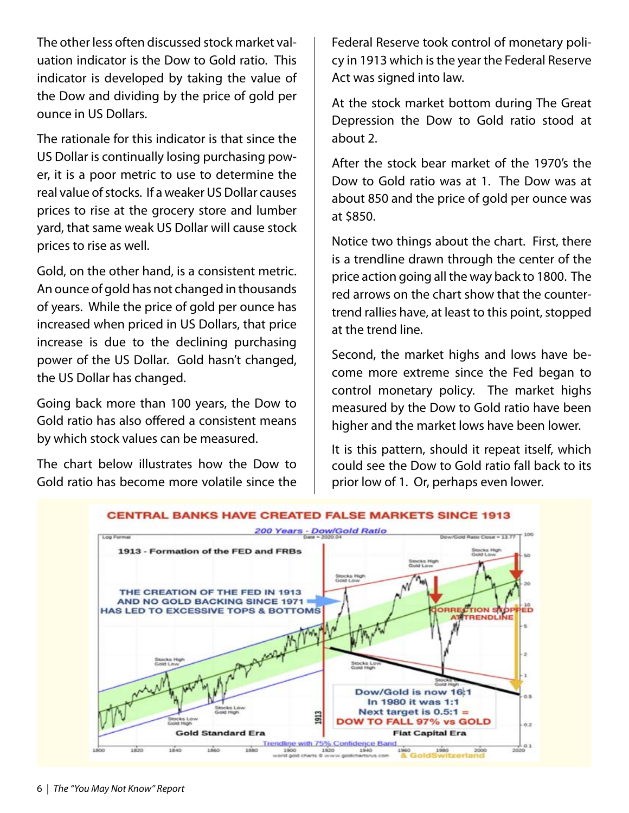The other less often discussed stock market valuation indicator is the Dow to Gold ratio. This indicator is developed by taking the value of the Dow and dividing by the price of gold per ounce in US Dollars.

The rationale for this indicator is that since the US Dollar is continually losing purchasing power, it is a poor metric to use to determine the real value of stocks. If a weaker US Dollar causes prices to rise at the grocery store and lumber yard, that same weak US Dollar will cause stock prices to rise as well.

Gold, on the other hand, is a consistent metric. An ounce of gold has not changed in thousands of years. While the price of gold per ounce has increased when priced in US Dollars, that price increase is due to the declining purchasing power of the US Dollar. Gold hasn't changed, the US Dollar has changed.

Going back more than 100 years, the Dow to Gold ratio has also offered a consistent means by which stock values can be measured.

The chart below illustrates how the Dow to Gold ratio has become more volatile since the Federal Reserve took control of monetary policy in 1913 which is the year the Federal Reserve Act was signed into law.

At the stock market bottom during The Great Depression the Dow to Gold ratio stood at about 2.

After the stock bear market of the 1970's the Dow to Gold ratio was at 1. The Dow was at about 850 and the price of gold per ounce was at \$850.

Notice two things about the chart. First, there is a trendline drawn through the center of the price action going all the way back to 1800. The red arrows on the chart show that the countertrend rallies have, at least to this point, stopped at the trend line.

Second, the market highs and lows have become more extreme since the Fed began to control monetary policy. The market highs measured by the Dow to Gold ratio have been higher and the market lows have been lower.

It is this pattern, should it repeat itself, which could see the Dow to Gold ratio fall back to its prior low of 1. Or, perhaps even lower.

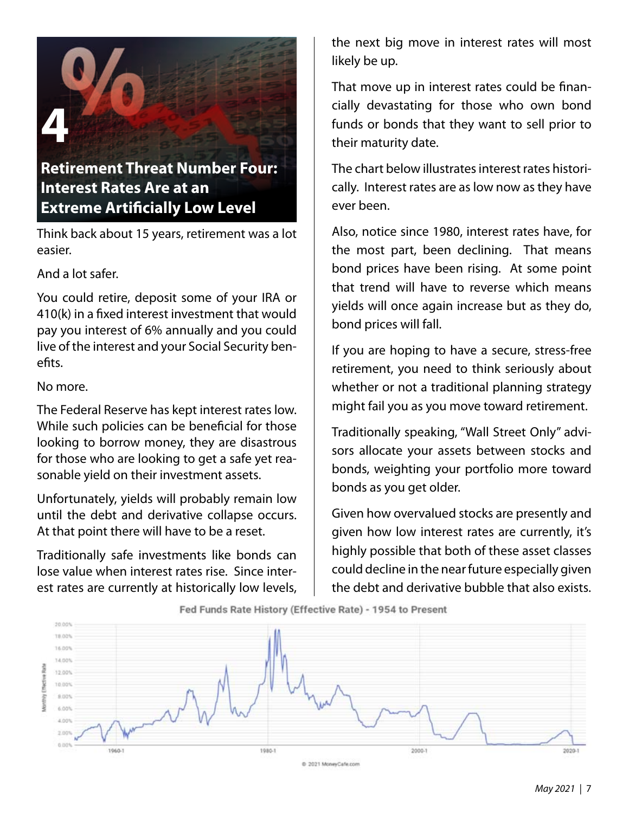# **4**

### **Retirement Threat Number Four: Interest Rates Are at an Extreme Artificially Low Level**

Think back about 15 years, retirement was a lot easier.

And a lot safer.

You could retire, deposit some of your IRA or 410(k) in a fixed interest investment that would pay you interest of 6% annually and you could live of the interest and your Social Security benefits.

#### No more.

The Federal Reserve has kept interest rates low. While such policies can be beneficial for those looking to borrow money, they are disastrous for those who are looking to get a safe yet reasonable yield on their investment assets.

Unfortunately, yields will probably remain low until the debt and derivative collapse occurs. At that point there will have to be a reset.

Traditionally safe investments like bonds can lose value when interest rates rise. Since interest rates are currently at historically low levels, the next big move in interest rates will most likely be up.

That move up in interest rates could be financially devastating for those who own bond funds or bonds that they want to sell prior to their maturity date.

The chart below illustrates interest rates historically. Interest rates are as low now as they have ever been.

Also, notice since 1980, interest rates have, for the most part, been declining. That means bond prices have been rising. At some point that trend will have to reverse which means yields will once again increase but as they do, bond prices will fall.

If you are hoping to have a secure, stress-free retirement, you need to think seriously about whether or not a traditional planning strategy might fail you as you move toward retirement.

Traditionally speaking, "Wall Street Only" advisors allocate your assets between stocks and bonds, weighting your portfolio more toward bonds as you get older.

Given how overvalued stocks are presently and given how low interest rates are currently, it's highly possible that both of these asset classes could decline in the near future especially given the debt and derivative bubble that also exists.



C 2021 MoneyCafe.com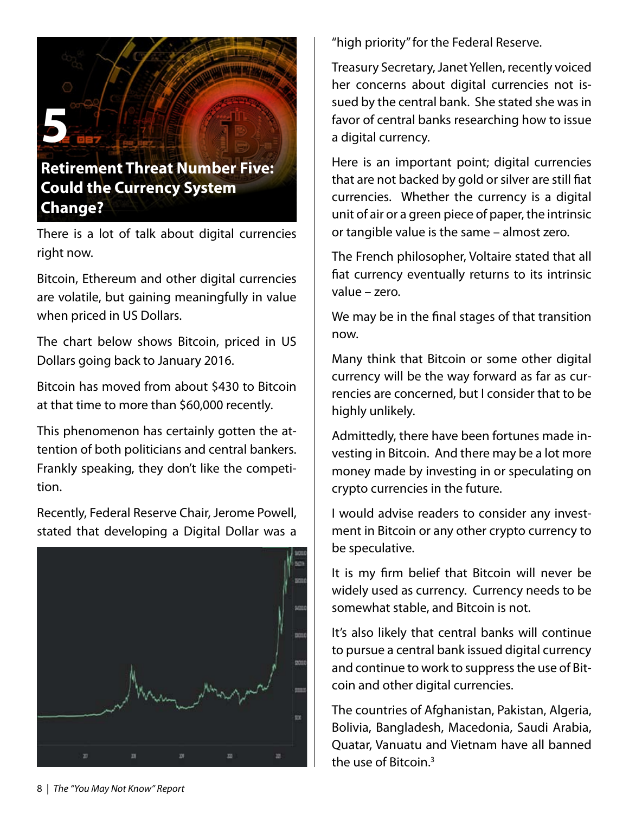

There is a lot of talk about digital currencies right now.

Bitcoin, Ethereum and other digital currencies are volatile, but gaining meaningfully in value when priced in US Dollars.

The chart below shows Bitcoin, priced in US Dollars going back to January 2016.

Bitcoin has moved from about \$430 to Bitcoin at that time to more than \$60,000 recently.

This phenomenon has certainly gotten the attention of both politicians and central bankers. Frankly speaking, they don't like the competition.

Recently, Federal Reserve Chair, Jerome Powell, stated that developing a Digital Dollar was a



"high priority" for the Federal Reserve.

Treasury Secretary, Janet Yellen, recently voiced her concerns about digital currencies not issued by the central bank. She stated she was in favor of central banks researching how to issue a digital currency.

Here is an important point; digital currencies that are not backed by gold or silver are still fiat currencies. Whether the currency is a digital unit of air or a green piece of paper, the intrinsic or tangible value is the same – almost zero.

The French philosopher, Voltaire stated that all fiat currency eventually returns to its intrinsic value – zero.

We may be in the final stages of that transition now.

Many think that Bitcoin or some other digital currency will be the way forward as far as currencies are concerned, but I consider that to be highly unlikely.

Admittedly, there have been fortunes made investing in Bitcoin. And there may be a lot more money made by investing in or speculating on crypto currencies in the future.

I would advise readers to consider any investment in Bitcoin or any other crypto currency to be speculative.

It is my firm belief that Bitcoin will never be widely used as currency. Currency needs to be somewhat stable, and Bitcoin is not.

It's also likely that central banks will continue to pursue a central bank issued digital currency and continue to work to suppress the use of Bitcoin and other digital currencies.

The countries of Afghanistan, Pakistan, Algeria, Bolivia, Bangladesh, Macedonia, Saudi Arabia, Quatar, Vanuatu and Vietnam have all banned the use of Bitcoin.<sup>3</sup>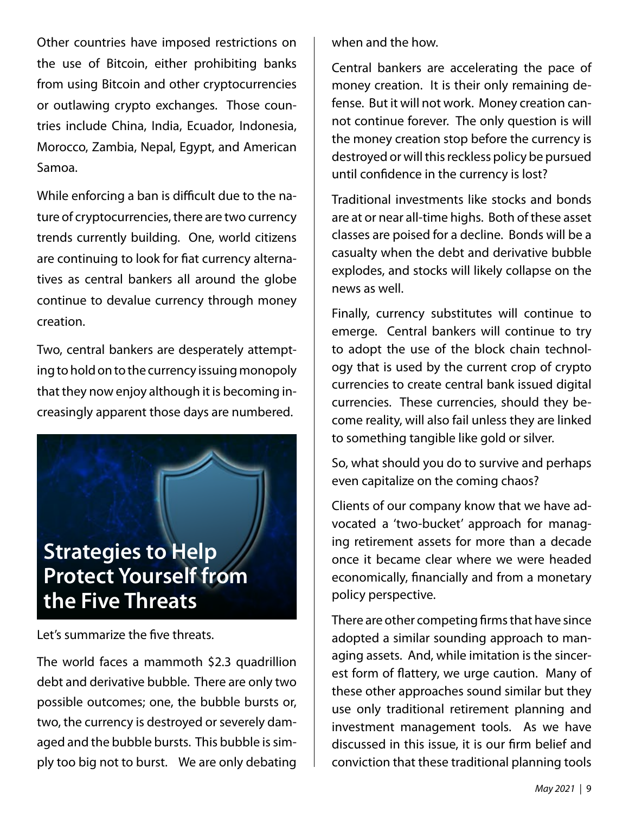Other countries have imposed restrictions on the use of Bitcoin, either prohibiting banks from using Bitcoin and other cryptocurrencies or outlawing crypto exchanges. Those countries include China, India, Ecuador, Indonesia, Morocco, Zambia, Nepal, Egypt, and American Samoa.

While enforcing a ban is difficult due to the nature of cryptocurrencies, there are two currency trends currently building. One, world citizens are continuing to look for fiat currency alternatives as central bankers all around the globe continue to devalue currency through money creation.

Two, central bankers are desperately attempting to hold on to the currency issuing monopoly that they now enjoy although it is becoming increasingly apparent those days are numbered.

## **Strategies to Help Protect Yourself from the Five Threats**

Let's summarize the five threats.

The world faces a mammoth \$2.3 quadrillion debt and derivative bubble. There are only two possible outcomes; one, the bubble bursts or, two, the currency is destroyed or severely damaged and the bubble bursts. This bubble is simply too big not to burst. We are only debating when and the how.

Central bankers are accelerating the pace of money creation. It is their only remaining defense. But it will not work. Money creation cannot continue forever. The only question is will the money creation stop before the currency is destroyed or will this reckless policy be pursued until confidence in the currency is lost?

Traditional investments like stocks and bonds are at or near all-time highs. Both of these asset classes are poised for a decline. Bonds will be a casualty when the debt and derivative bubble explodes, and stocks will likely collapse on the news as well.

Finally, currency substitutes will continue to emerge. Central bankers will continue to try to adopt the use of the block chain technology that is used by the current crop of crypto currencies to create central bank issued digital currencies. These currencies, should they become reality, will also fail unless they are linked to something tangible like gold or silver.

So, what should you do to survive and perhaps even capitalize on the coming chaos?

Clients of our company know that we have advocated a 'two-bucket' approach for managing retirement assets for more than a decade once it became clear where we were headed economically, financially and from a monetary policy perspective.

There are other competing firms that have since adopted a similar sounding approach to managing assets. And, while imitation is the sincerest form of flattery, we urge caution. Many of these other approaches sound similar but they use only traditional retirement planning and investment management tools. As we have discussed in this issue, it is our firm belief and conviction that these traditional planning tools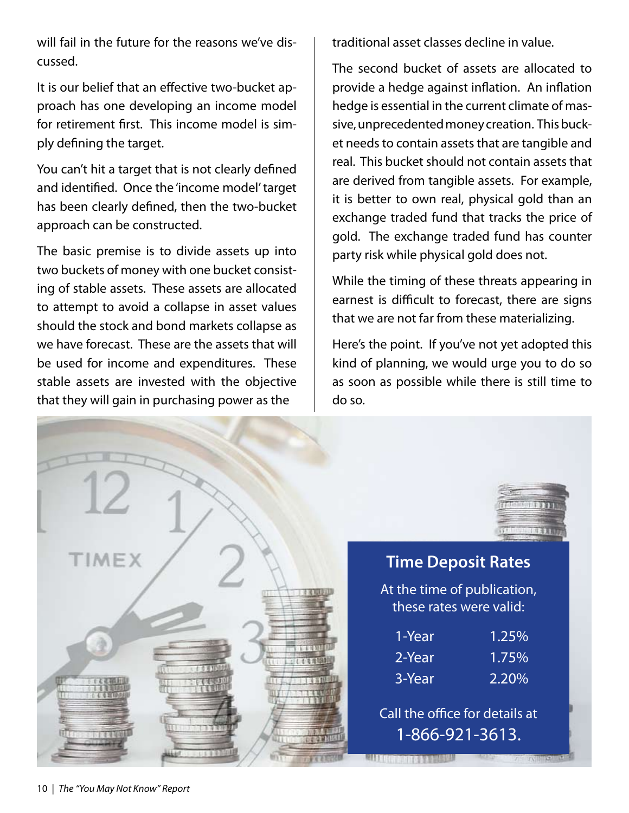will fail in the future for the reasons we've discussed.

It is our belief that an effective two-bucket approach has one developing an income model for retirement first. This income model is simply defining the target.

You can't hit a target that is not clearly defined and identified. Once the 'income model' target has been clearly defined, then the two-bucket approach can be constructed.

The basic premise is to divide assets up into two buckets of money with one bucket consisting of stable assets. These assets are allocated to attempt to avoid a collapse in asset values should the stock and bond markets collapse as we have forecast. These are the assets that will be used for income and expenditures. These stable assets are invested with the objective that they will gain in purchasing power as the

traditional asset classes decline in value.

The second bucket of assets are allocated to provide a hedge against inflation. An inflation hedge is essential in the current climate of massive, unprecedented money creation. This bucket needs to contain assets that are tangible and real. This bucket should not contain assets that are derived from tangible assets. For example, it is better to own real, physical gold than an exchange traded fund that tracks the price of gold. The exchange traded fund has counter party risk while physical gold does not.

While the timing of these threats appearing in earnest is difficult to forecast, there are signs that we are not far from these materializing.

Here's the point. If you've not yet adopted this kind of planning, we would urge you to do so as soon as possible while there is still time to do so.

| <b>TIMEX</b> | <b>Time Deposit Rates</b>                              |                        |
|--------------|--------------------------------------------------------|------------------------|
|              | At the time of publication,<br>these rates were valid: |                        |
|              |                                                        |                        |
|              | 1-Year                                                 | 1.25%                  |
| しがむゆる        | 2-Year                                                 | 1.75%                  |
| 12,510       | 3-Year                                                 | 2.20%                  |
|              | Call the office for details at                         |                        |
|              | 1-866-921-3613.                                        |                        |
| こいを事業        |                                                        | $T = T\sqrt{1 - 4\pi}$ |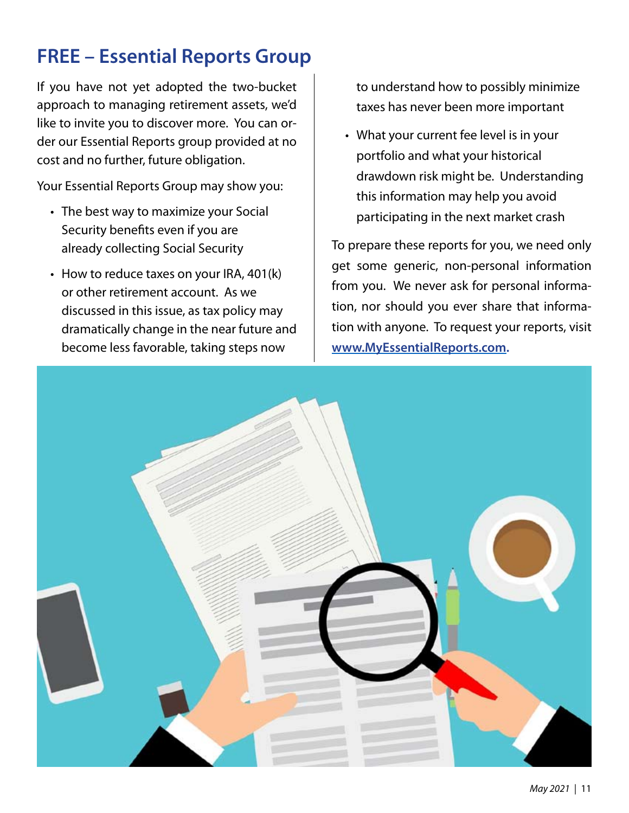## **FREE – Essential Reports Group**

If you have not yet adopted the two-bucket approach to managing retirement assets, we'd like to invite you to discover more. You can order our Essential Reports group provided at no cost and no further, future obligation.

Your Essential Reports Group may show you:

- The best way to maximize your Social Security benefits even if you are already collecting Social Security
- How to reduce taxes on your IRA, 401(k) or other retirement account. As we discussed in this issue, as tax policy may dramatically change in the near future and become less favorable, taking steps now

to understand how to possibly minimize taxes has never been more important

What your current fee level is in your •portfolio and what your historical drawdown risk might be. Understanding this information may help you avoid participating in the next market crash

To prepare these reports for you, we need only get some generic, non-personal information from you. We never ask for personal information, nor should you ever share that information with anyone. To request your reports, visit **www.MyEssentialReports.com.**